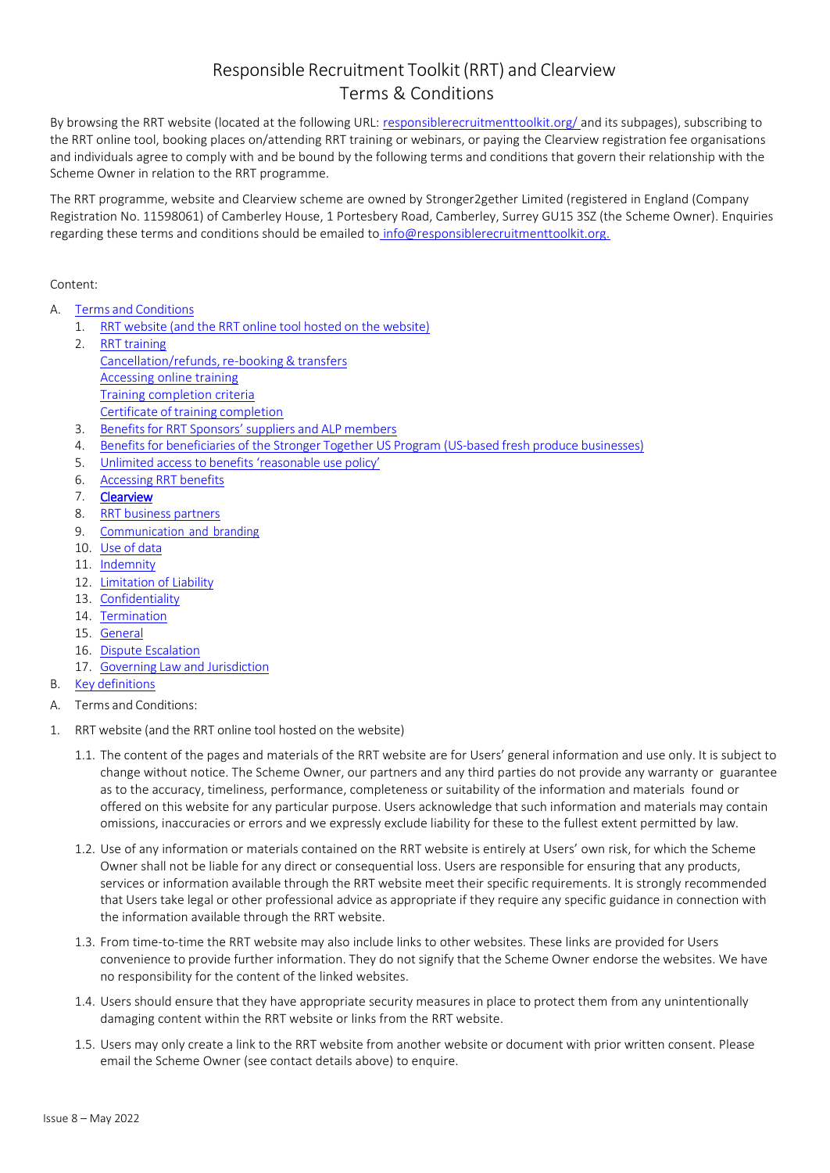## Responsible Recruitment Toolkit(RRT) and Clearview Terms & Conditions

By browsing the RRT website (located at the following URL: [responsiblerecruitmenttoolkit.org/ a](https://responsiblerecruitmenttoolkit.org/)nd its subpages), subscribing to the RRT online tool, booking places on/attending RRT training or webinars, or paying the Clearview registration fee organisations and individuals agree to comply with and be bound by the following terms and conditions that govern their relationship with the Scheme Owner in relation to the RRT programme.

The RRT programme, website and Clearview scheme are owned by Stronger2gether Limited (registered in England (Company Registration No. 11598061) of Camberley House, 1 Portesbery Road, Camberley, Surrey GU15 3SZ (the Scheme Owner). Enquiries regarding these terms and conditions should be emailed to [info@responsiblerecruitmenttoolkit.org.](mailto:info@responsiblerecruitmenttoolkit.org)

## Content:

- A. Terms and [Conditions](#page-0-0)
	- 1. RRT website (and the RRT online tool hosted on the [website\)](#page-0-1)
	- 2. RRT [training](#page-2-0) Cancellation/refunds, re-booking & transfers [Accessing online training](#page-3-0) [Training completion criteria](#page-3-1) Certificate of training [completion](#page-3-2)
	- 3. Benefits for [RRT Sponsors'](#page-3-3) suppliers and ALP members
	- 4. Benefits for [beneficiaries](#page-3-4) of the Stronger Together US Program (US-based fresh produce businesses)
	- 5. Unlimited access to benefits ['reasonable](#page-4-0) use policy'
	- 6. [Accessing](#page-4-1) RRT benefits
	- 7. [Clearview](#page-4-2)
	- 8. RRT [business](#page-4-3) partners
	- 9. [Communication](#page-0-2) and branding
	- 10. Use of [data](#page-6-0)
	- 11. **[Indemnity](#page-0-3)**
	- 12. [Limitation](#page-0-4) of Liability
	- 13. [Confidentiality](#page-0-5)
	- 14. [Termination](#page-0-6)
	- 15. [General](#page-0-7)
	- 16. Dispute [Escalation](#page-0-8)
	- 17. Governing Law and [Jurisdiction](#page-0-9)
- <span id="page-0-9"></span><span id="page-0-8"></span><span id="page-0-7"></span><span id="page-0-6"></span><span id="page-0-5"></span><span id="page-0-4"></span><span id="page-0-3"></span><span id="page-0-2"></span>B. Key [definitions](#page-9-0)
- <span id="page-0-0"></span>A. Terms and Conditions:
- <span id="page-0-1"></span>1. RRT website (and the RRT online tool hosted on the website)
	- 1.1. The content of the pages and materials of the RRT website are for Users' general information and use only. It is subject to change without notice. The Scheme Owner, our partners and any third parties do not provide any warranty or guarantee as to the accuracy, timeliness, performance, completeness or suitability of the information and materials found or offered on this website for any particular purpose. Users acknowledge that such information and materials may contain omissions, inaccuracies or errors and we expressly exclude liability for these to the fullest extent permitted by law.
	- 1.2. Use of any information or materials contained on the RRT website is entirely at Users' own risk, for which the Scheme Owner shall not be liable for any direct or consequential loss. Users are responsible for ensuring that any products, services or information available through the RRT website meet their specific requirements. It is strongly recommended that Users take legal or other professional advice as appropriate if they require any specific guidance in connection with the information available through the RRT website.
	- 1.3. From time-to-time the RRT website may also include links to other websites. These links are provided for Users convenience to provide further information. They do not signify that the Scheme Owner endorse the websites. We have no responsibility for the content of the linked websites.
	- 1.4. Users should ensure that they have appropriate security measures in place to protect them from any unintentionally damaging content within the RRT website or links from the RRT website.
	- 1.5. Users may only create a link to the RRT website from another website or document with prior written consent. Please email the Scheme Owner (see contact details above) to enquire.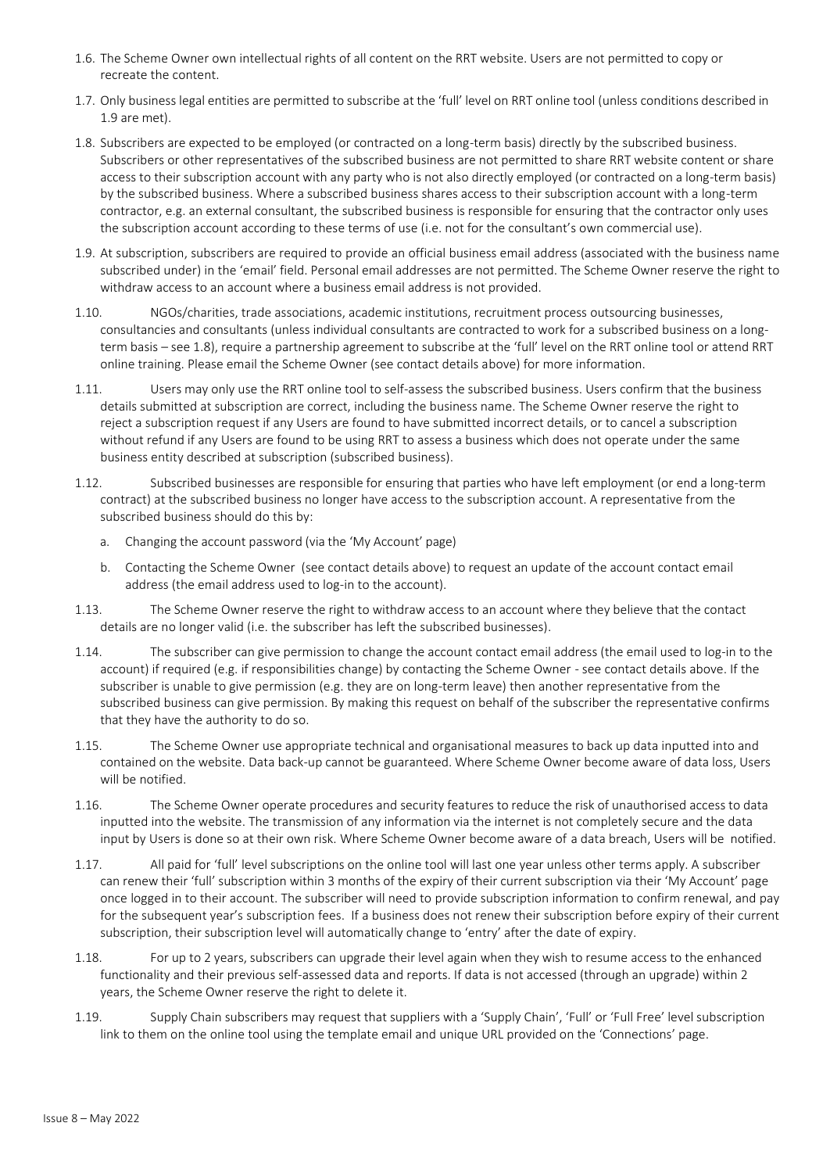- 1.6. The Scheme Owner own intellectual rights of all content on the RRT website. Users are not permitted to copy or recreate the content.
- 1.7. Only business legal entities are permitted to subscribe at the 'full' level on RRT online tool (unless conditions described in [1.9 a](#page-1-0)re met).
- <span id="page-1-1"></span>1.8. Subscribers are expected to be employed (or contracted on a long-term basis) directly by the subscribed business. Subscribers or other representatives of the subscribed business are not permitted to share RRT website content or share access to their subscription account with any party who is not also directly employed (or contracted on a long-term basis) by the subscribed business. Where a subscribed business shares access to their subscription account with a long-term contractor, e.g. an external consultant, the subscribed business is responsible for ensuring that the contractor only uses the subscription account according to these terms of use (i.e. not for the consultant's own commercial use).
- <span id="page-1-0"></span>1.9. At subscription, subscribers are required to provide an official business email address (associated with the business name subscribed under) in the 'email' field. Personal email addresses are not permitted. The Scheme Owner reserve the right to withdraw access to an account where a business email address is not provided.
- 1.10. NGOs/charities, trade associations, academic institutions, recruitment process outsourcing businesses, consultancies and consultants (unless individual consultants are contracted to work for a subscribed business on a longterm basis – see [1.8\),](#page-1-1) require a partnership agreement to subscribe at the 'full' level on the RRT online tool or attend RRT online training. Please email the Scheme Owner (see contact details above) for more information.
- 1.11. Users may only use the RRT online tool to self-assess the subscribed business. Users confirm that the business details submitted at subscription are correct, including the business name. The Scheme Owner reserve the right to reject a subscription request if any Users are found to have submitted incorrect details, or to cancel a subscription without refund if any Users are found to be using RRT to assess a business which does not operate under the same business entity described at subscription (subscribed business).
- 1.12. Subscribed businesses are responsible for ensuring that parties who have left employment (or end a long-term contract) at the subscribed business no longer have access to the subscription account. A representative from the subscribed business should do this by:
	- a. Changing the account password (via the 'My Account' page)
	- b. Contacting the Scheme Owner (see contact details above) to request an update of the account contact email address (the email address used to log-in to the account).
- 1.13. The Scheme Owner reserve the right to withdraw access to an account where they believe that the contact details are no longer valid (i.e. the subscriber has left the subscribed businesses).
- 1.14. The subscriber can give permission to change the account contact email address (the email used to log-in to the account) if required (e.g. if responsibilities change) by contacting the Scheme Owner - see contact details above. If the subscriber is unable to give permission (e.g. they are on long-term leave) then another representative from the subscribed business can give permission. By making this request on behalf of the subscriber the representative confirms that they have the authority to do so.
- 1.15. The Scheme Owner use appropriate technical and organisational measures to back up data inputted into and contained on the website. Data back-up cannot be guaranteed. Where Scheme Owner become aware of data loss, Users will be notified.
- 1.16. The Scheme Owner operate procedures and security features to reduce the risk of unauthorised access to data inputted into the website. The transmission of any information via the internet is not completely secure and the data input by Users is done so at their own risk. Where Scheme Owner become aware of a data breach, Users will be notified.
- <span id="page-1-2"></span>1.17. All paid for 'full' level subscriptions on the online tool will last one year unless other terms apply. A subscriber can renew their 'full' subscription within 3 months of the expiry of their current subscription via their 'My Account' page once logged in to their account. The subscriber will need to provide subscription information to confirm renewal, and pay for the subsequent year's subscription fees. If a business does not renew their subscription before expiry of their current subscription, their subscription level will automatically change to 'entry' after the date of expiry.
- 1.18. For up to 2 years, subscribers can upgrade their level again when they wish to resume access to the enhanced functionality and their previous self-assessed data and reports. If data is not accessed (through an upgrade) within 2 years, the Scheme Owner reserve the right to delete it.
- 1.19. Supply Chain subscribers may request that suppliers with a 'Supply Chain', 'Full' or 'Full Free' level subscription link to them on the online tool using the template email and unique URL provided on the 'Connections' page.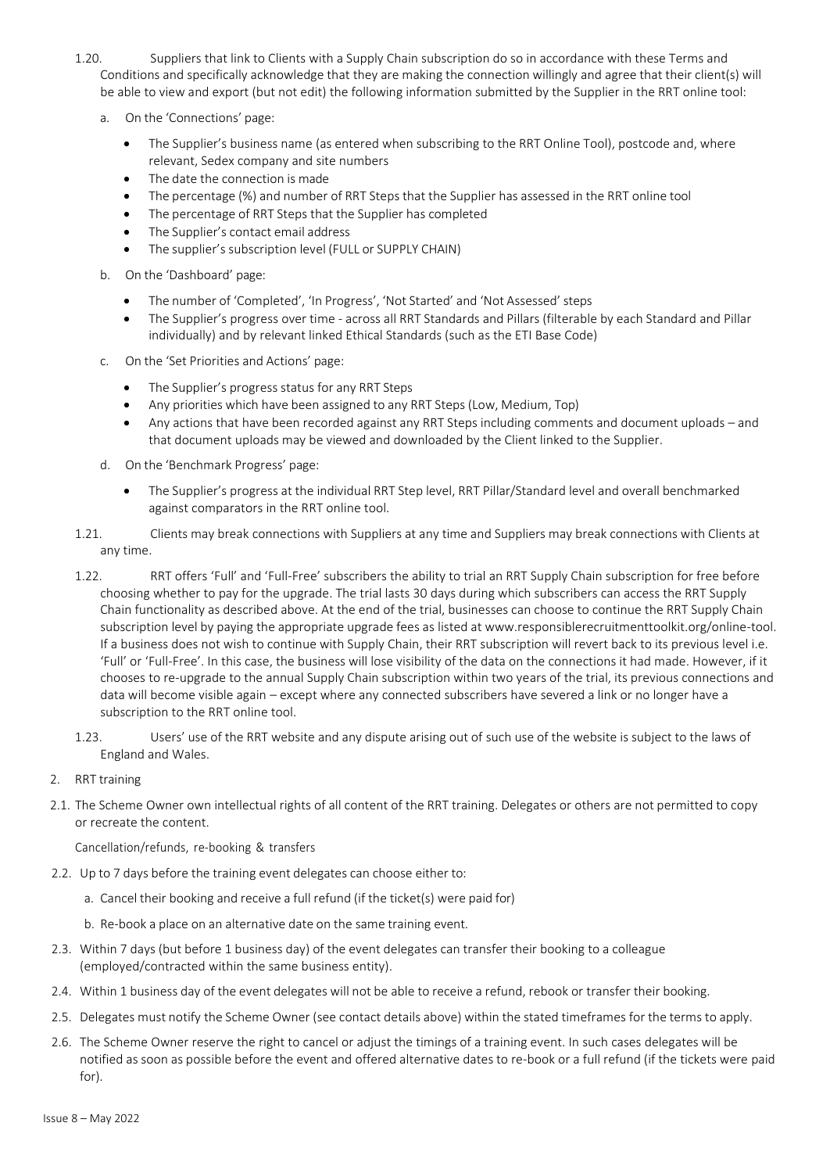- 1.20. Suppliers that link to Clients with a Supply Chain subscription do so in accordance with these Terms and Conditions and specifically acknowledge that they are making the connection willingly and agree that their client(s) will be able to view and export (but not edit) the following information submitted by the Supplier in the RRT online tool:
	- a. On the 'Connections' page:
		- The Supplier's business name (as entered when subscribing to the RRT Online Tool), postcode and, where relevant, Sedex company and site numbers
		- The date the connection is made
		- The percentage (%) and number of RRT Steps that the Supplier has assessed in the RRT online tool
		- The percentage of RRT Steps that the Supplier has completed
		- The Supplier's contact email address
		- The supplier's subscription level (FULL or SUPPLY CHAIN)
	- b. On the 'Dashboard' page:
		- The number of 'Completed', 'In Progress', 'Not Started' and 'Not Assessed' steps
		- The Supplier's progress over time across all RRT Standards and Pillars (filterable by each Standard and Pillar individually) and by relevant linked Ethical Standards (such as the ETI Base Code)
	- c. On the 'Set Priorities and Actions' page:
		- The Supplier's progress status for any RRT Steps
		- Any priorities which have been assigned to any RRT Steps (Low, Medium, Top)
		- Any actions that have been recorded against any RRT Steps including comments and document uploads and that document uploads may be viewed and downloaded by the Client linked to the Supplier.
	- d. On the 'Benchmark Progress' page:
		- The Supplier's progress at the individual RRT Step level, RRT Pillar/Standard level and overall benchmarked against comparators in the RRT online tool.
- 1.21. Clients may break connections with Suppliers at any time and Suppliers may break connections with Clients at any time.
- 1.22. RRT offers 'Full' and 'Full-Free' subscribers the ability to trial an RRT Supply Chain subscription for free before choosing whether to pay for the upgrade. The trial lasts 30 days during which subscribers can access the RRT Supply Chain functionality as described above. At the end of the trial, businesses can choose to continue the RRT Supply Chain subscription level by paying the appropriate upgrade fees as listed at [www.responsiblerecruitmenttoolkit.org/online-tool.](http://www.responsiblerecruitmenttoolkit.org/online-tool) If a business does not wish to continue with Supply Chain, their RRT subscription will revert back to its previous level i.e. 'Full' or 'Full-Free'. In this case, the business will lose visibility of the data on the connections it had made. However, if it chooses to re-upgrade to the annual Supply Chain subscription within two years of the trial, its previous connections and data will become visible again – except where any connected subscribers have severed a link or no longer have a subscription to the RRT online tool.
- 1.23. Users' use of the RRT website and any dispute arising out of such use of the website is subject to the laws of England and Wales.
- <span id="page-2-0"></span>2. RRT training
- <span id="page-2-1"></span>2.1. The Scheme Owner own intellectual rights of all content of the RRT training. Delegates or others are not permitted to copy or recreate the content.

Cancellation/refunds, re-booking & transfers

- 2.2. Up to 7 days before the training event delegates can choose either to:
	- a. Cancel their booking and receive a full refund (if the ticket(s) were paid for)
	- b. Re-book a place on an alternative date on the same training event.
- 2.3. Within 7 days (but before 1 business day) of the event delegates can transfer their booking to a colleague (employed/contracted within the same business entity).
- 2.4. Within 1 business day of the event delegates will not be able to receive a refund, rebook or transfer their booking.
- 2.5. Delegates must notify the Scheme Owner (see contact details above) within the stated timeframes for the terms to apply.
- 2.6. The Scheme Owner reserve the right to cancel or adjust the timings of a training event. In such cases delegates will be notified as soon as possible before the event and offered alternative dates to re-book or a full refund (if the tickets were paid for).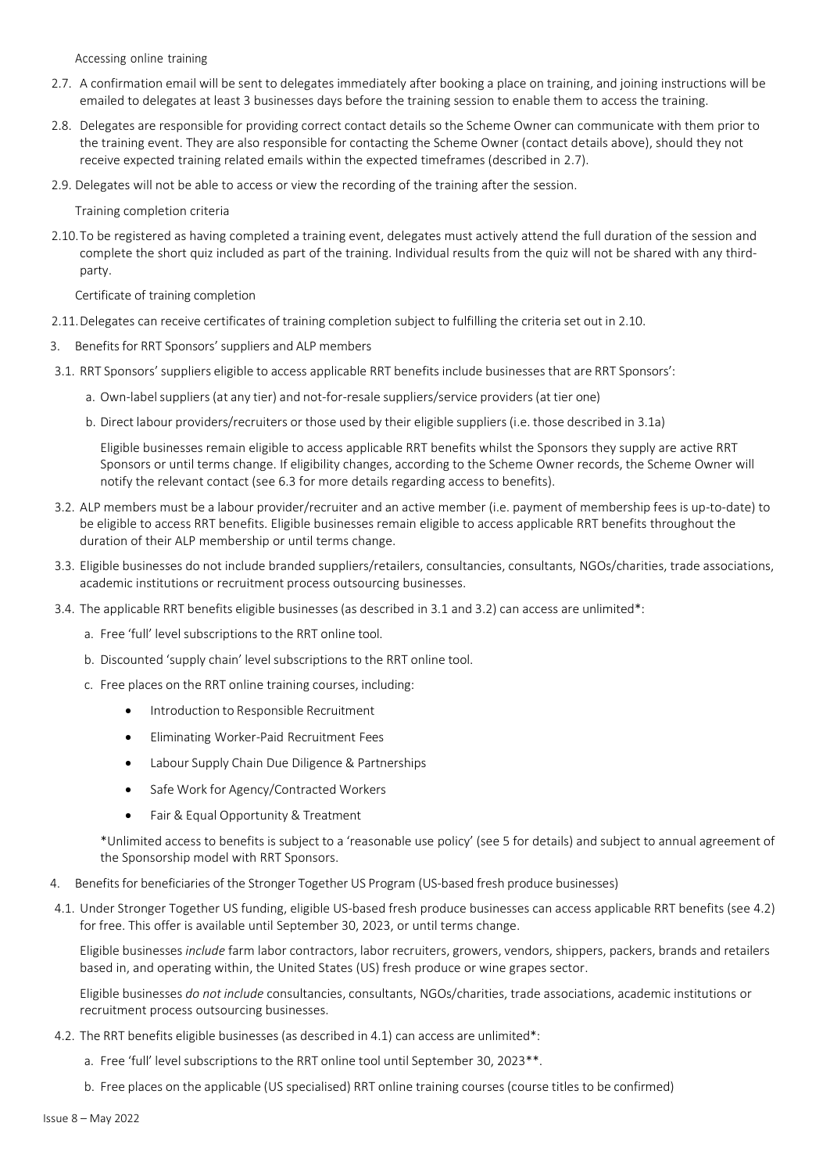Accessing online training

- <span id="page-3-5"></span><span id="page-3-0"></span>2.7. A confirmation email will be sent to delegates immediately after booking a place on training, and joining instructions will be emailed to delegates at least 3 businesses days before the training session to enable them to access the training.
- 2.8. Delegates are responsible for providing correct contact details so the Scheme Owner can communicate with them prior to the training event. They are also responsible for contacting the Scheme Owner (contact details above), should they not receive expected training related emails within the expected timeframes (described in [2.7\)](#page-3-5).
- <span id="page-3-1"></span>2.9. Delegates will not be able to access or view the recording of the training after the session.

Training completion criteria

<span id="page-3-6"></span>2.10.To be registered as having completed a training event, delegates must actively attend the full duration of the session and complete the short quiz included as part of the training. Individual results from the quiz will not be shared with any thirdparty.

Certificate of training completion

- <span id="page-3-2"></span>2.11.Delegates can receive certificates of training completion subject to fulfilling the criteria set out in [2.10.](#page-3-6)
- <span id="page-3-3"></span>3. Benefits for RRT Sponsors' suppliers and ALP members
- <span id="page-3-7"></span>3.1. RRT Sponsors'suppliers eligible to access applicable RRT benefits include businesses that are RRT Sponsors':
	- a. Own-labelsuppliers (at any tier) and not-for-resale suppliers/service providers (at tier one)
	- b. Direct labour providers/recruiters or those used by their eligible suppliers (i.e. those described in [3.1a\)](#page-3-7)

Eligible businesses remain eligible to access applicable RRT benefits whilst the Sponsors they supply are active RRT Sponsors or until terms change. If eligibility changes, according to the Scheme Owner records, the Scheme Owner will notify the relevant contact (see [6.3 f](#page-4-4)or more details regarding access to benefits).

- <span id="page-3-8"></span>3.2. ALP members must be a labour provider/recruiter and an active member (i.e. payment of membership fees is up-to-date) to be eligible to access RRT benefits. Eligible businesses remain eligible to access applicable RRT benefits throughout the duration of their ALP membership or until terms change.
- 3.3. Eligible businesses do not include branded suppliers/retailers, consultancies, consultants, NGOs/charities, trade associations, academic institutions or recruitment process outsourcing businesses.
- 3.4. The applicable RRT benefits eligible businesses(as described in [3.1 a](#page-3-7)nd [3.2\)](#page-3-8) can access are unlimited\*:
	- a. Free 'full' level subscriptions to the RRT online tool.
	- b. Discounted 'supply chain' level subscriptions to the RRT online tool.
	- c. Free places on the RRT online training courses, including:
		- Introduction to Responsible Recruitment
		- Eliminating Worker-Paid Recruitment Fees
		- Labour Supply Chain Due Diligence & Partnerships
		- Safe Work for Agency/Contracted Workers
		- Fair & Equal Opportunity & Treatment

\*Unlimited access to benefits is subject to a 'reasonable use policy' (see [5 f](#page-4-0)or details) and subject to annual agreement of the Sponsorship model with RRT Sponsors.

- <span id="page-3-4"></span>4. Benefits for beneficiaries of the Stronger Together US Program (US-based fresh produce businesses)
- <span id="page-3-10"></span>4.1. Under Stronger Together US funding, eligible US-based fresh produce businesses can access applicable RRT benefits (see [4.2\)](#page-3-9) for free. This offer is available until September 30, 2023, or until terms change.

Eligible businesses *include* farm labor contractors, labor recruiters, growers, vendors, shippers, packers, brands and retailers based in, and operating within, the United States (US) fresh produce or wine grapes sector.

Eligible businesses *do not include* consultancies, consultants, NGOs/charities, trade associations, academic institutions or recruitment process outsourcing businesses.

- <span id="page-3-9"></span>4.2. The RRT benefits eligible businesses (as described in [4.1\) c](#page-3-10)an access are unlimited\*:
	- a. Free 'full' level subscriptions to the RRT online tool until September 30, 2023\*\*.
	- b. Free places on the applicable (US specialised) RRT online training courses (course titles to be confirmed)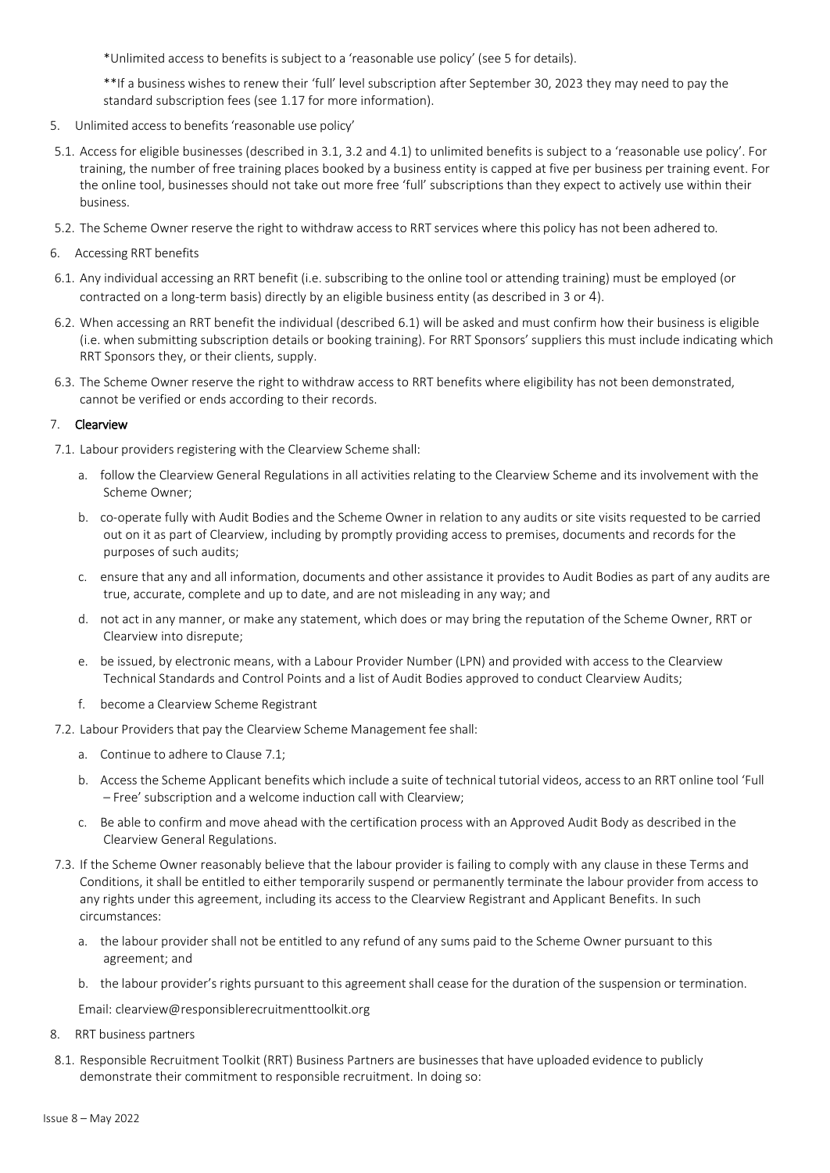\*Unlimited access to benefits is subject to a 'reasonable use policy' (see [5 f](#page-4-0)or details).

\*\*If a business wishes to renew their 'full' level subscription after September 30, 2023 they may need to pay the standard subscription fees (se[e 1.17 f](#page-1-2)or more information).

- <span id="page-4-0"></span>5. Unlimited access to benefits 'reasonable use policy'
- 5.1. Access for eligible businesses (described i[n 3.1, 3.2 a](#page-3-7)nd [4.1](#page-3-10)) to unlimited benefits is subject to a 'reasonable use policy'. For training, the number of free training places booked by a business entity is capped at five per business per training event. For the online tool, businesses should not take out more free 'full' subscriptions than they expect to actively use within their business.
- 5.2. The Scheme Owner reserve the right to withdraw accessto RRT services where this policy has not been adhered to.
- <span id="page-4-1"></span>6. Accessing RRT benefits
- <span id="page-4-5"></span>6.1. Any individual accessing an RRT benefit (i.e. subscribing to the online tool or attending training) must be employed (or contracted on a long-term basis) directly by an eligible business entity (as described i[n 3 o](#page-3-3)r [4](#page-3-4)).
- <span id="page-4-6"></span>6.2. When accessing an RRT benefit the individual (described [6.1\)](#page-4-5) will be asked and must confirm how their business is eligible (i.e. when submitting subscription details or booking training). For RRT Sponsors' suppliers this must include indicating which RRT Sponsors they, or their clients, supply.
- <span id="page-4-4"></span>6.3. The Scheme Owner reserve the right to withdraw access to RRT benefits where eligibility has not been demonstrated, cannot be verified or ends according to their records.

## <span id="page-4-2"></span>7. Clearview

7.1. Labour providers registering with the Clearview Scheme shall:

- a. follow the Clearview General Regulations in all activities relating to the Clearview Scheme and its involvement with the Scheme Owner;
- b. co-operate fully with Audit Bodies and the Scheme Owner in relation to any audits or site visits requested to be carried out on it as part of Clearview, including by promptly providing access to premises, documents and records for the purposes of such audits;
- c. ensure that any and all information, documents and other assistance it provides to Audit Bodies as part of any audits are true, accurate, complete and up to date, and are not misleading in any way; and
- d. not act in any manner, or make any statement, which does or may bring the reputation of the Scheme Owner, RRT or Clearview into disrepute;
- e. be issued, by electronic means, with a Labour Provider Number (LPN) and provided with access to the Clearview Technical Standards and Control Points and a list of Audit Bodies approved to conduct Clearview Audits;
- f. become a Clearview Scheme Registrant

7.2. Labour Providers that pay the Clearview Scheme Management fee shall:

- a. Continue to adhere to Clause 7.1;
- b. Access the Scheme Applicant benefits which include a suite of technical tutorial videos, access to an RRT online tool 'Full – Free' subscription and a welcome induction call with Clearview;
- c. Be able to confirm and move ahead with the certification process with an Approved Audit Body as described in the Clearview General Regulations.
- 7.3. If the Scheme Owner reasonably believe that the labour provider is failing to comply with any clause in these Terms and Conditions, it shall be entitled to either temporarily suspend or permanently terminate the labour provider from access to any rights under this agreement, including its access to the Clearview Registrant and Applicant Benefits. In such circumstances:
	- a. the labour provider shall not be entitled to any refund of any sums paid to the Scheme Owner pursuant to this agreement; and
	- b. the labour provider's rights pursuant to this agreement shall cease for the duration of the suspension or termination.

Email: clearview@responsiblerecruitmenttoolkit.org

- <span id="page-4-3"></span>8. RRT business partners
- 8.1. Responsible Recruitment Toolkit (RRT) Business Partners are businesses that have uploaded evidence to publicly demonstrate their commitment to responsible recruitment. In doing so: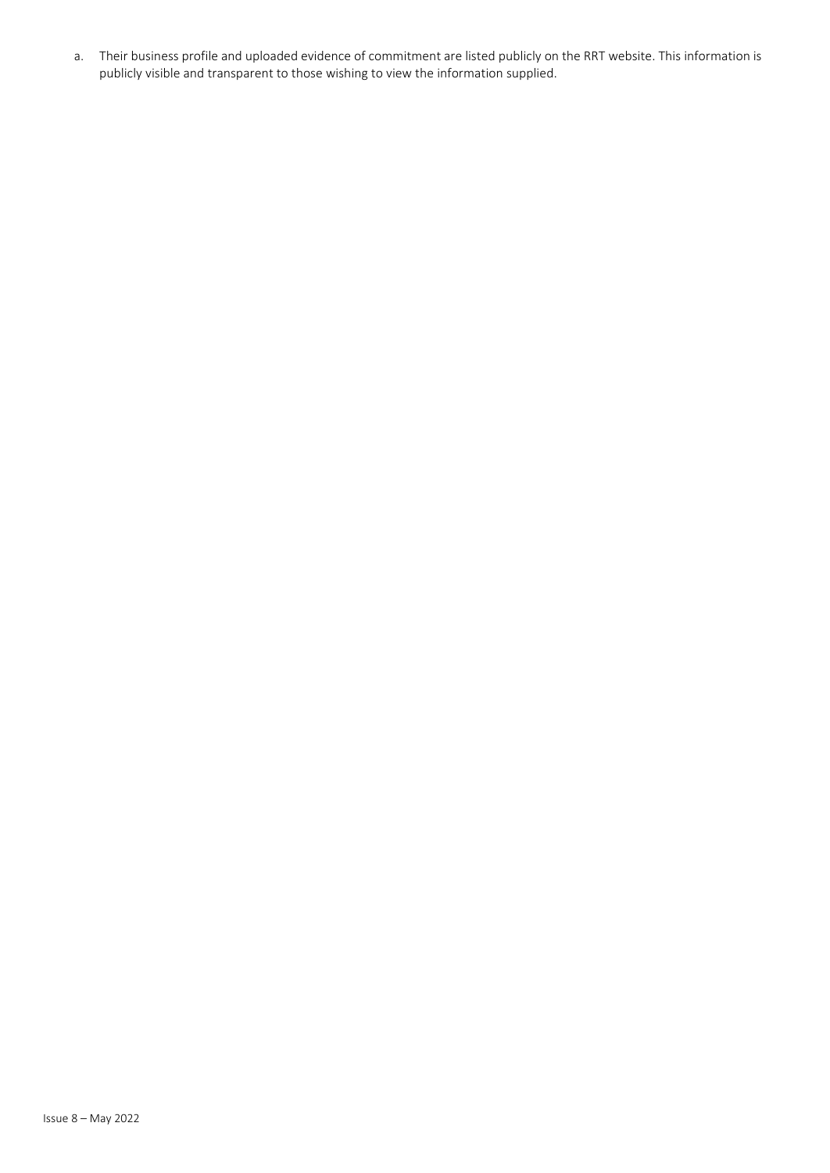a. Their business profile and uploaded evidence of commitment are listed publicly on the RRT website. This information is publicly visible and transparent to those wishing to view the information supplied.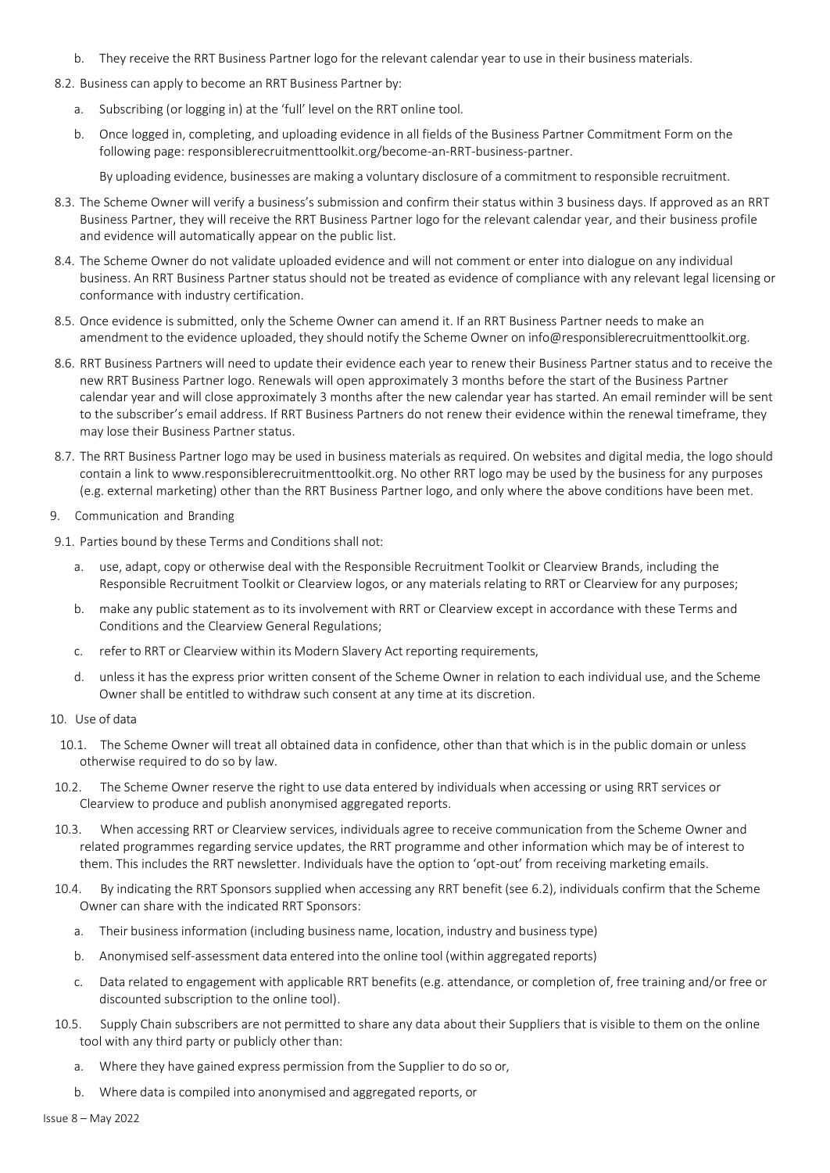- b. They receive the RRT Business Partner logo for the relevant calendar year to use in their business materials.
- 8.2. Business can apply to become an RRT Business Partner by:
	- a. Subscribing (or logging in) at the 'full' level on the RRT online tool.
	- b. Once logged in, completing, and uploading evidence in all fields of the Business Partner Commitment Form on the following page: responsiblerecruitmenttoolkit.org/become-an-RRT-business-partner.

By uploading evidence, businesses are making a voluntary disclosure of a commitment to responsible recruitment.

- 8.3. The Scheme Owner will verify a business's submission and confirm their status within 3 business days. If approved as an RRT Business Partner, they will receive the RRT Business Partner logo for the relevant calendar year, and their business profile and evidence will automatically appear on the public list.
- 8.4. The Scheme Owner do not validate uploaded evidence and will not comment or enter into dialogue on any individual business. An RRT Business Partner status should not be treated as evidence of compliance with any relevant legal licensing or conformance with industry certification.
- 8.5. Once evidence is submitted, only the Scheme Owner can amend it. If an RRT Business Partner needs to make an amendment to the evidence uploaded, they should notify the Scheme Owner on [info@responsiblerecruitmenttoolkit.org.](mailto:info@responsiblerecruitmenttoolkit.org)
- 8.6. RRT Business Partners will need to update their evidence each year to renew their Business Partner status and to receive the new RRT Business Partner logo. Renewals will open approximately 3 months before the start of the Business Partner calendar year and will close approximately 3 months after the new calendar year has started. An email reminder will be sent to the subscriber's email address. If RRT Business Partners do not renew their evidence within the renewal timeframe, they may lose their Business Partner status.
- 8.7. The RRT Business Partner logo may be used in business materials as required. On websites and digital media, the logo should contain a link t[o www.responsiblerecruitmenttoolkit.org. N](http://www.responsiblerecruitmenttoolkit.org/)o other RRT logo may be used by the business for any purposes (e.g. external marketing) other than the RRT Business Partner logo, and only where the above conditions have been met.
- 9. Communication and Branding
- 9.1. Parties bound by these Terms and Conditions shall not:
	- a. use, adapt, copy or otherwise deal with the Responsible Recruitment Toolkit or Clearview Brands, including the Responsible Recruitment Toolkit or Clearview logos, or any materials relating to RRT or Clearview for any purposes;
	- b. make any public statement as to its involvement with RRT or Clearview except in accordance with these Terms and Conditions and the Clearview General Regulations;
	- c. refer to RRT or Clearview within its Modern Slavery Act reporting requirements,
	- d. unless it has the express prior written consent of the Scheme Owner in relation to each individual use, and the Scheme Owner shall be entitled to withdraw such consent at any time at its discretion.
- <span id="page-6-0"></span>10. Use of data
	- 10.1. The Scheme Owner will treat all obtained data in confidence, other than that which is in the public domain or unless otherwise required to do so by law.
- 10.2. The Scheme Owner reserve the right to use data entered by individuals when accessing or using RRT services or Clearview to produce and publish anonymised aggregated reports.
- 10.3. When accessing RRT or Clearview services, individuals agree to receive communication from the Scheme Owner and related programmes regarding service updates, the RRT programme and other information which may be of interest to them. This includes the RRT newsletter. Individuals have the option to 'opt-out' from receiving marketing emails.
- 10.4. By indicating the RRT Sponsors supplied when accessing any RRT benefit (see [6.2\),](#page-4-6) individuals confirm that the Scheme Owner can share with the indicated RRT Sponsors:
	- a. Their businessinformation (including business name, location, industry and business type)
	- b. Anonymised self-assessment data entered into the online tool (within aggregated reports)
	- c. Data related to engagement with applicable RRT benefits (e.g. attendance, or completion of, free training and/or free or discounted subscription to the online tool).
- 10.5. Supply Chain subscribers are not permitted to share any data about their Suppliers that is visible to them on the online tool with any third party or publicly other than:
	- a. Where they have gained express permission from the Supplier to do so or,
	- b. Where data is compiled into anonymised and aggregated reports, or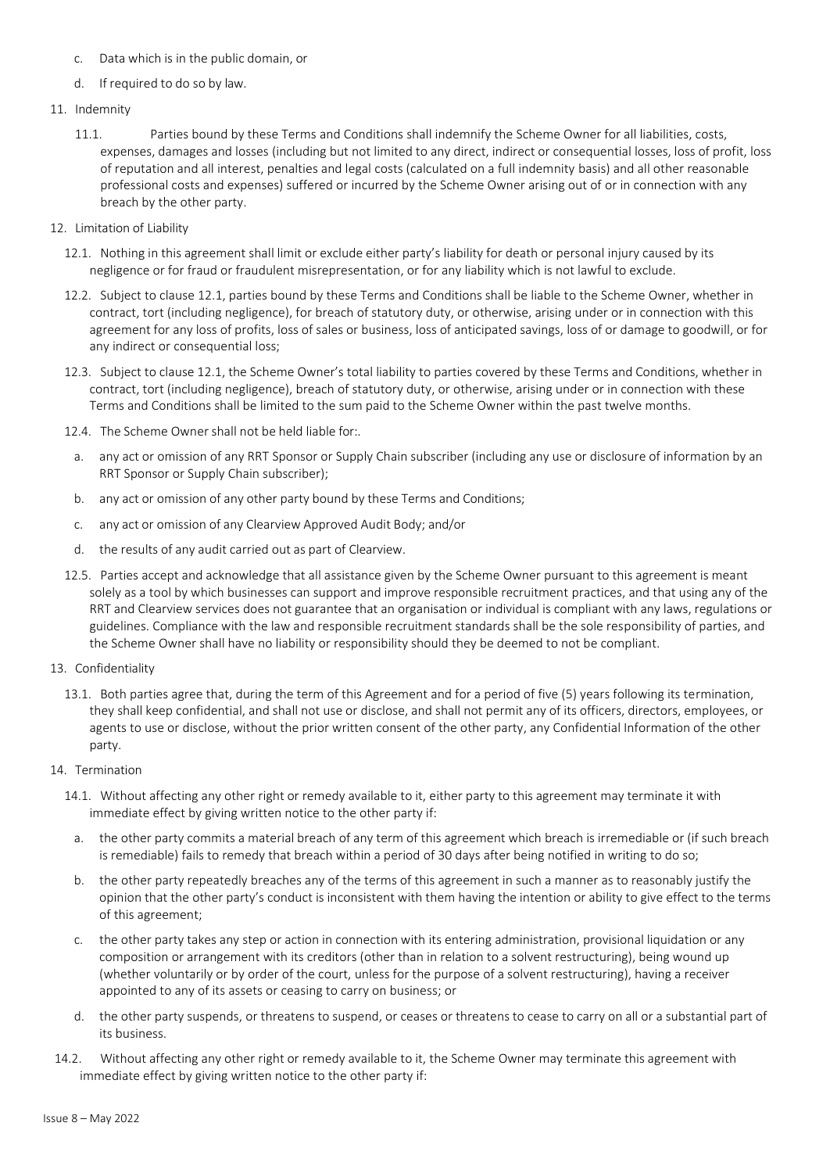- c. Data which is in the public domain, or
- d. If required to do so by law.
- 11. Indemnity
	- 11.1. Parties bound by these Terms and Conditions shall indemnify the Scheme Owner for all liabilities, costs, expenses, damages and losses (including but not limited to any direct, indirect or consequential losses, loss of profit, loss of reputation and all interest, penalties and legal costs (calculated on a full indemnity basis) and all other reasonable professional costs and expenses) suffered or incurred by the Scheme Owner arising out of or in connection with any breach by the other party.
- 12. Limitation of Liability
	- 12.1. Nothing in this agreement shall limit or exclude either party's liability for death or personal injury caused by its negligence or for fraud or fraudulent misrepresentation, or for any liability which is not lawful to exclude.
	- 12.2. Subject to clause 12.1, parties bound by these Terms and Conditions shall be liable to the Scheme Owner, whether in contract, tort (including negligence), for breach of statutory duty, or otherwise, arising under or in connection with this agreement for any loss of profits, loss of sales or business, loss of anticipated savings, loss of or damage to goodwill, or for any indirect or consequential loss;
	- 12.3. Subject to clause 12.1, the Scheme Owner's total liability to parties covered by these Terms and Conditions, whether in contract, tort (including negligence), breach of statutory duty, or otherwise, arising under or in connection with these Terms and Conditions shall be limited to the sum paid to the Scheme Owner within the past twelve months.
	- 12.4. The Scheme Owner shall not be held liable for:.
	- a. any act or omission of any RRT Sponsor or Supply Chain subscriber (including any use or disclosure of information by an RRT Sponsor or Supply Chain subscriber);
	- b. any act or omission of any other party bound by these Terms and Conditions;
	- c. any act or omission of any Clearview Approved Audit Body; and/or
	- d. the results of any audit carried out as part of Clearview.
	- 12.5. Parties accept and acknowledge that all assistance given by the Scheme Owner pursuant to this agreement is meant solely as a tool by which businesses can support and improve responsible recruitment practices, and that using any of the RRT and Clearview services does not guarantee that an organisation or individual is compliant with any laws, regulations or guidelines. Compliance with the law and responsible recruitment standards shall be the sole responsibility of parties, and the Scheme Owner shall have no liability or responsibility should they be deemed to not be compliant.
- 13. Confidentiality
	- 13.1. Both parties agree that, during the term of this Agreement and for a period of five (5) years following its termination, they shall keep confidential, and shall not use or disclose, and shall not permit any of its officers, directors, employees, or agents to use or disclose, without the prior written consent of the other party, any Confidential Information of the other party.
- 14. Termination
	- 14.1. Without affecting any other right or remedy available to it, either party to this agreement may terminate it with immediate effect by giving written notice to the other party if:
		- a. the other party commits a material breach of any term of this agreement which breach is irremediable or (if such breach is remediable) fails to remedy that breach within a period of 30 days after being notified in writing to do so;
		- b. the other party repeatedly breaches any of the terms of this agreement in such a manner as to reasonably justify the opinion that the other party's conduct is inconsistent with them having the intention or ability to give effect to the terms of this agreement;
		- c. the other party takes any step or action in connection with its entering administration, provisional liquidation or any composition or arrangement with its creditors (other than in relation to a solvent restructuring), being wound up (whether voluntarily or by order of the court, unless for the purpose of a solvent restructuring), having a receiver appointed to any of its assets or ceasing to carry on business; or
		- d. the other party suspends, or threatens to suspend, or ceases or threatens to cease to carry on all or a substantial part of its business.
- 14.2. Without affecting any other right or remedy available to it, the Scheme Owner may terminate this agreement with immediate effect by giving written notice to the other party if: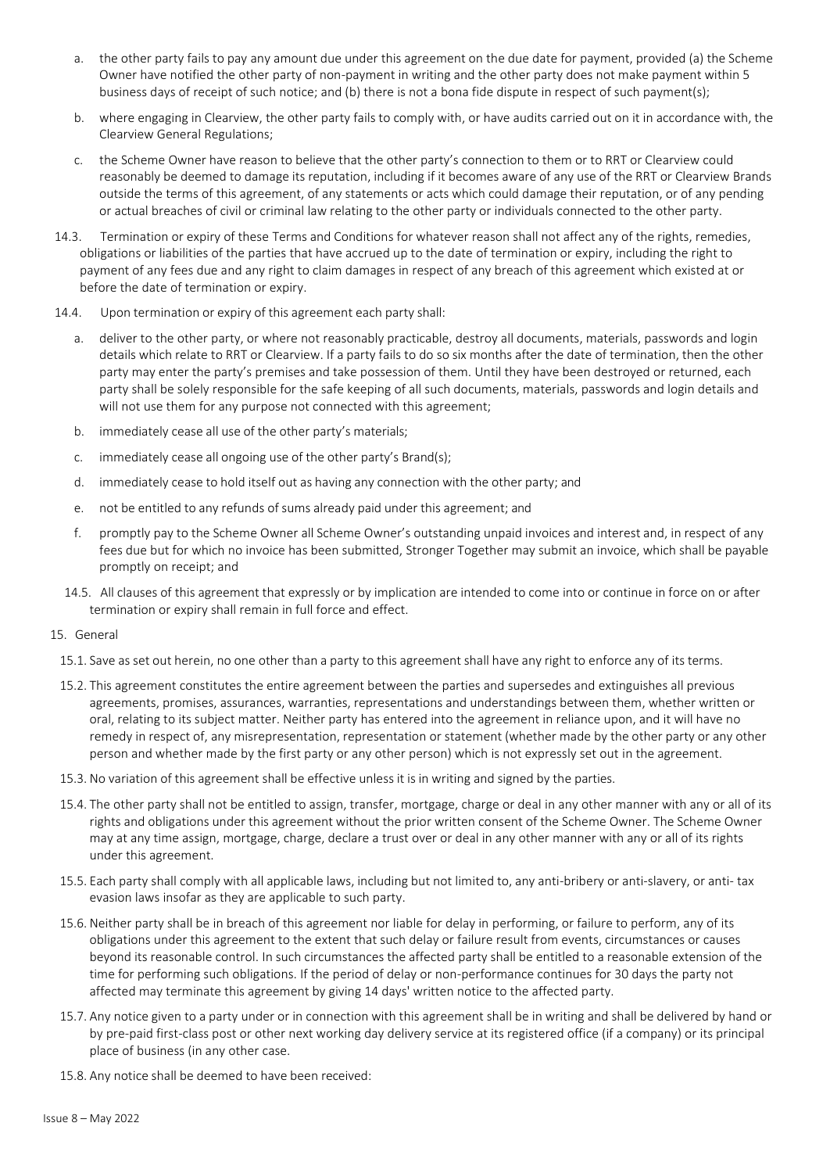- a. the other party fails to pay any amount due under this agreement on the due date for payment, provided (a) the Scheme Owner have notified the other party of non-payment in writing and the other party does not make payment within 5 business days of receipt of such notice; and (b) there is not a bona fide dispute in respect of such payment(s);
- b. where engaging in Clearview, the other party fails to comply with, or have audits carried out on it in accordance with, the Clearview General Regulations;
- c. the Scheme Owner have reason to believe that the other party's connection to them or to RRT or Clearview could reasonably be deemed to damage its reputation, including if it becomes aware of any use of the RRT or Clearview Brands outside the terms of this agreement, of any statements or acts which could damage their reputation, or of any pending or actual breaches of civil or criminal law relating to the other party or individuals connected to the other party.
- 14.3. Termination or expiry of these Terms and Conditions for whatever reason shall not affect any of the rights, remedies, obligations or liabilities of the parties that have accrued up to the date of termination or expiry, including the right to payment of any fees due and any right to claim damages in respect of any breach of this agreement which existed at or before the date of termination or expiry.
- 14.4. Upon termination or expiry of this agreement each party shall:
	- a. deliver to the other party, or where not reasonably practicable, destroy all documents, materials, passwords and login details which relate to RRT or Clearview. If a party fails to do so six months after the date of termination, then the other party may enter the party's premises and take possession of them. Until they have been destroyed or returned, each party shall be solely responsible for the safe keeping of all such documents, materials, passwords and login details and will not use them for any purpose not connected with this agreement;
	- b. immediately cease all use of the other party's materials;
	- c. immediately cease all ongoing use of the other party's Brand(s);
	- d. immediately cease to hold itself out as having any connection with the other party; and
	- e. not be entitled to any refunds of sums already paid under this agreement; and
	- f. promptly pay to the Scheme Owner all Scheme Owner's outstanding unpaid invoices and interest and, in respect of any fees due but for which no invoice has been submitted, Stronger Together may submit an invoice, which shall be payable promptly on receipt; and
	- 14.5. All clauses of this agreement that expressly or by implication are intended to come into or continue in force on or after termination or expiry shall remain in full force and effect.
- 15. General
	- 15.1. Save as set out herein, no one other than a party to this agreement shall have any right to enforce any of its terms.
	- 15.2. This agreement constitutes the entire agreement between the parties and supersedes and extinguishes all previous agreements, promises, assurances, warranties, representations and understandings between them, whether written or oral, relating to its subject matter. Neither party has entered into the agreement in reliance upon, and it will have no remedy in respect of, any misrepresentation, representation or statement (whether made by the other party or any other person and whether made by the first party or any other person) which is not expressly set out in the agreement.
	- 15.3. No variation of this agreement shall be effective unless it is in writing and signed by the parties.
	- 15.4. The other party shall not be entitled to assign, transfer, mortgage, charge or deal in any other manner with any or all of its rights and obligations under this agreement without the prior written consent of the Scheme Owner. The Scheme Owner may at any time assign, mortgage, charge, declare a trust over or deal in any other manner with any or all of its rights under this agreement.
	- 15.5. Each party shall comply with all applicable laws, including but not limited to, any anti-bribery or anti-slavery, or anti- tax evasion laws insofar as they are applicable to such party.
	- 15.6. Neither party shall be in breach of this agreement nor liable for delay in performing, or failure to perform, any of its obligations under this agreement to the extent that such delay or failure result from events, circumstances or causes beyond its reasonable control. In such circumstances the affected party shall be entitled to a reasonable extension of the time for performing such obligations. If the period of delay or non-performance continues for 30 days the party not affected may terminate this agreement by giving 14 days' written notice to the affected party.
	- 15.7. Any notice given to a party under or in connection with this agreement shall be in writing and shall be delivered by hand or by pre-paid first-class post or other next working day delivery service at its registered office (if a company) or its principal place of business (in any other case.
	- 15.8. Any notice shall be deemed to have been received: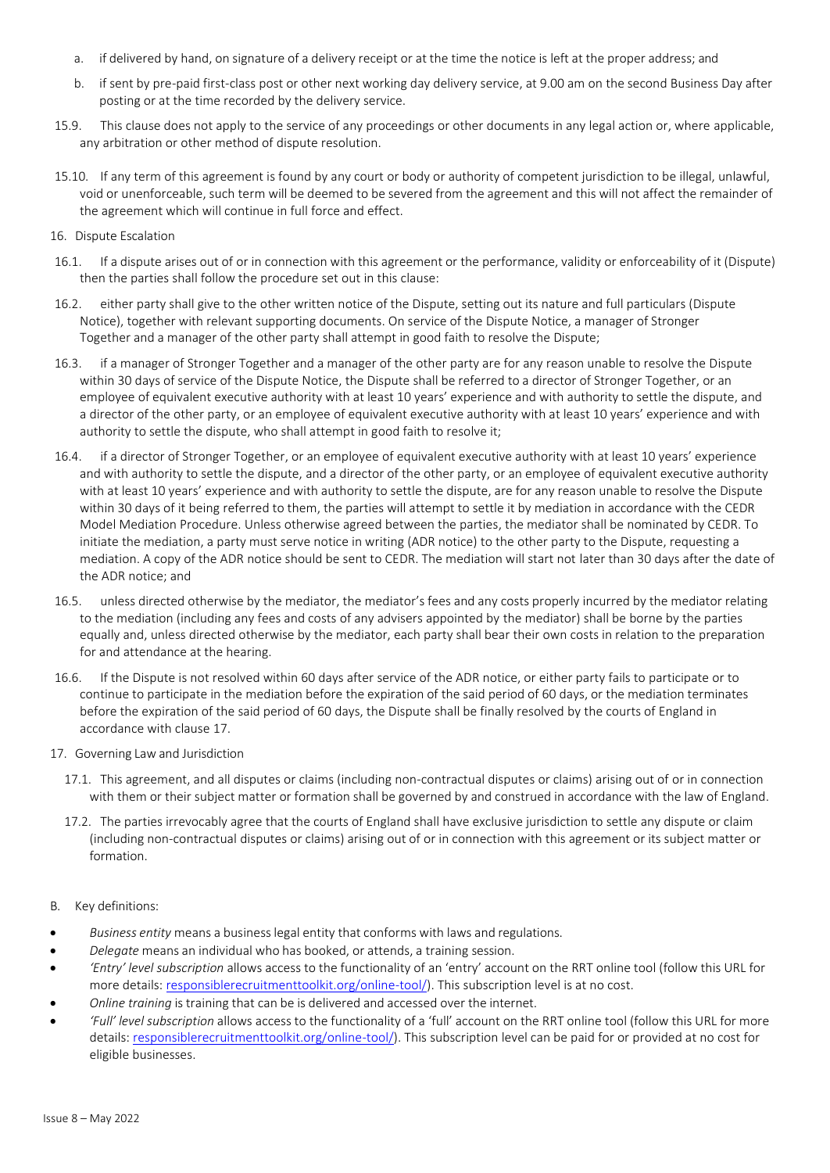- a. if delivered by hand, on signature of a delivery receipt or at the time the notice is left at the proper address; and
- b. if sent by pre-paid first-class post or other next working day delivery service, at 9.00 am on the second Business Day after posting or at the time recorded by the delivery service.
- 15.9. This clause does not apply to the service of any proceedings or other documents in any legal action or, where applicable, any arbitration or other method of dispute resolution.
- 15.10. If any term of this agreement is found by any court or body or authority of competent jurisdiction to be illegal, unlawful, void or unenforceable, such term will be deemed to be severed from the agreement and this will not affect the remainder of the agreement which will continue in full force and effect.
- 16. Dispute Escalation
- 16.1. If a dispute arises out of or in connection with this agreement or the performance, validity or enforceability of it (Dispute) then the parties shall follow the procedure set out in this clause:
- 16.2. either party shall give to the other written notice of the Dispute, setting out its nature and full particulars (Dispute Notice), together with relevant supporting documents. On service of the Dispute Notice, a manager of Stronger Together and a manager of the other party shall attempt in good faith to resolve the Dispute;
- 16.3. if a manager of Stronger Together and a manager of the other party are for any reason unable to resolve the Dispute within 30 days of service of the Dispute Notice, the Dispute shall be referred to a director of Stronger Together, or an employee of equivalent executive authority with at least 10 years' experience and with authority to settle the dispute, and a director of the other party, or an employee of equivalent executive authority with at least 10 years' experience and with authority to settle the dispute, who shall attempt in good faith to resolve it;
- 16.4. if a director of Stronger Together, or an employee of equivalent executive authority with at least 10 years' experience and with authority to settle the dispute, and a director of the other party, or an employee of equivalent executive authority with at least 10 years' experience and with authority to settle the dispute, are for any reason unable to resolve the Dispute within 30 days of it being referred to them, the parties will attempt to settle it by mediation in accordance with the CEDR Model Mediation Procedure. Unless otherwise agreed between the parties, the mediator shall be nominated by CEDR. To initiate the mediation, a party must serve notice in writing (ADR notice) to the other party to the Dispute, requesting a mediation. A copy of the ADR notice should be sent to CEDR. The mediation will start not later than 30 days after the date of the ADR notice; and
- 16.5. unless directed otherwise by the mediator, the mediator's fees and any costs properly incurred by the mediator relating to the mediation (including any fees and costs of any advisers appointed by the mediator) shall be borne by the parties equally and, unless directed otherwise by the mediator, each party shall bear their own costs in relation to the preparation for and attendance at the hearing.
- 16.6. If the Dispute is not resolved within 60 days after service of the ADR notice, or either party fails to participate or to continue to participate in the mediation before the expiration of the said period of 60 days, or the mediation terminates before the expiration of the said period of 60 days, the Dispute shall be finally resolved by the courts of England in accordance with clause [17.](#page-9-1)
- <span id="page-9-1"></span>17. Governing Law and Jurisdiction
	- 17.1. This agreement, and all disputes or claims (including non-contractual disputes or claims) arising out of or in connection with them or their subject matter or formation shall be governed by and construed in accordance with the law of England.
	- 17.2. The parties irrevocably agree that the courts of England shall have exclusive jurisdiction to settle any dispute or claim (including non-contractual disputes or claims) arising out of or in connection with this agreement or its subject matter or formation.
- <span id="page-9-0"></span>B. Key definitions:
- *Business entity* means a business legal entity that conforms with laws and regulations.
- *Delegate* means an individual who has booked, or attends, a training session.
- *'Entry' level subscription* allows access to the functionality of an 'entry' account on the RRT online tool (follow this URL for more details: [responsiblerecruitmenttoolkit.org/online-tool/\)](https://responsiblerecruitmenttoolkit.org/online-tool/). This subscription level is at no cost.
- *Online training* is training that can be is delivered and accessed over the internet.
- *'Full' level subscription* allows access to the functionality of a 'full' account on the RRT online tool (follow this URL for more details[: responsiblerecruitmenttoolkit.org/online-tool/\)](https://responsiblerecruitmenttoolkit.org/online-tool/). This subscription level can be paid for or provided at no cost for eligible businesses.